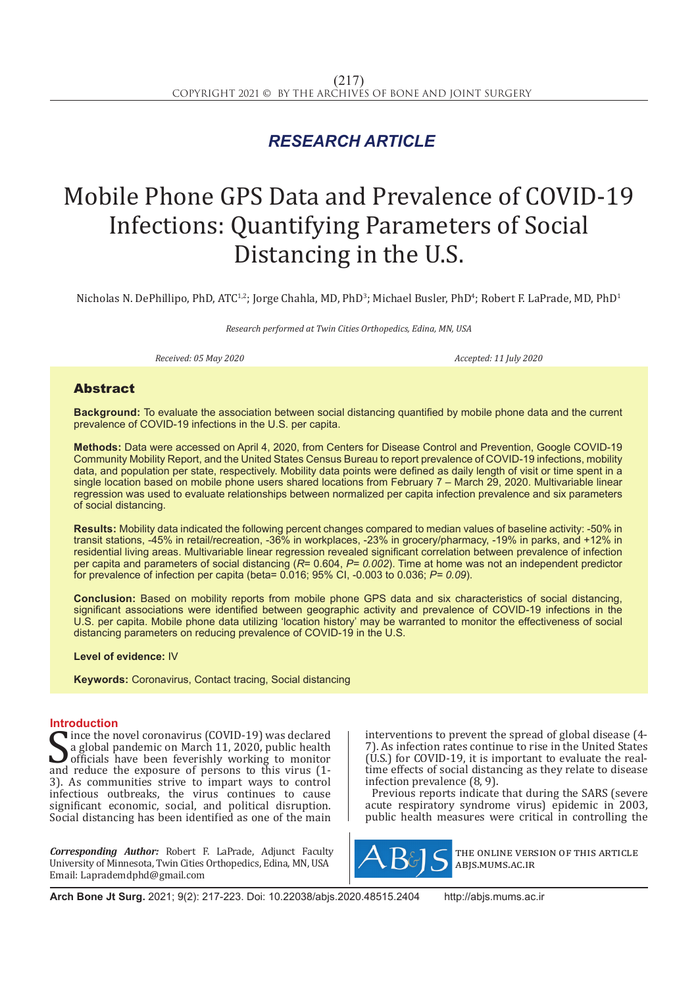## *RESEARCH ARTICLE*

# Mobile Phone GPS Data and Prevalence of COVID-19 Infections: Quantifying Parameters of Social Distancing in the U.S.

Nicholas N. DePhillipo, PhD, ATC12; Jorge Chahla, MD, PhD3; Michael Busler, PhD4; Robert F. LaPrade, MD, PhD1

*Research performed at Twin Cities Orthopedics, Edina, MN, USA*

*Received: 05 May 2020 Accepted: 11 July 2020*

### Abstract

**Background:** To evaluate the association between social distancing quantified by mobile phone data and the current prevalence of COVID-19 infections in the U.S. per capita.

**Methods:** Data were accessed on April 4, 2020, from Centers for Disease Control and Prevention, Google COVID-19 Community Mobility Report, and the United States Census Bureau to report prevalence of COVID-19 infections, mobility data, and population per state, respectively. Mobility data points were defined as daily length of visit or time spent in a single location based on mobile phone users shared locations from February 7 – March 29, 2020. Multivariable linear regression was used to evaluate relationships between normalized per capita infection prevalence and six parameters of social distancing.

**Results:** Mobility data indicated the following percent changes compared to median values of baseline activity: -50% in transit stations, -45% in retail/recreation, -36% in workplaces, -23% in grocery/pharmacy, -19% in parks, and +12% in residential living areas. Multivariable linear regression revealed significant correlation between prevalence of infection per capita and parameters of social distancing (*R*= 0.604, *P= 0.002*). Time at home was not an independent predictor for prevalence of infection per capita (beta= 0.016; 95% CI, -0.003 to 0.036; *P= 0.09*).

**Conclusion:** Based on mobility reports from mobile phone GPS data and six characteristics of social distancing, significant associations were identified between geographic activity and prevalence of COVID-19 infections in the U.S. per capita. Mobile phone data utilizing 'location history' may be warranted to monitor the effectiveness of social distancing parameters on reducing prevalence of COVID-19 in the U.S.

**Level of evidence:** IV

**Keywords:** Coronavirus, Contact tracing, Social distancing

#### **Introduction**

 $\sum_{\text{a global}}$  and reduce the exposure of persons to this virus (2007)<br>and reduce the exposure of persons to this virus (1-<br>and reduce the exposure of persons to this virus (1-<br> $\frac{1}{2}$ ). Ince the novel coronavirus (COVID-19) was declared a global pandemic on March 11, 2020, public health **J** officials have been feverishly working to monitor 3). As communities strive to impart ways to control infectious outbreaks, the virus continues to cause significant economic, social, and political disruption. Social distancing has been identified as one of the main

*Corresponding Author:* Robert F. LaPrade, Adjunct Faculty University of Minnesota, Twin Cities Orthopedics, Edina, MN, USA Email: Laprademdphd@gmail.com

interventions to prevent the spread of global disease (4- 7). As infection rates continue to rise in the United States (U.S.) for COVID-19, it is important to evaluate the realtime effects of social distancing as they relate to disease infection prevalence (8, 9).

Previous reports indicate that during the SARS (severe acute respiratory syndrome virus) epidemic in 2003, public health measures were critical in controlling the



the online version of this article abjs.mums.ac.ir

**Arch Bone Jt Surg.** 2021; 9(2): 217-223. Doi: 10.22038/abjs.2020.48515.2404 http://abjs.mums.ac.ir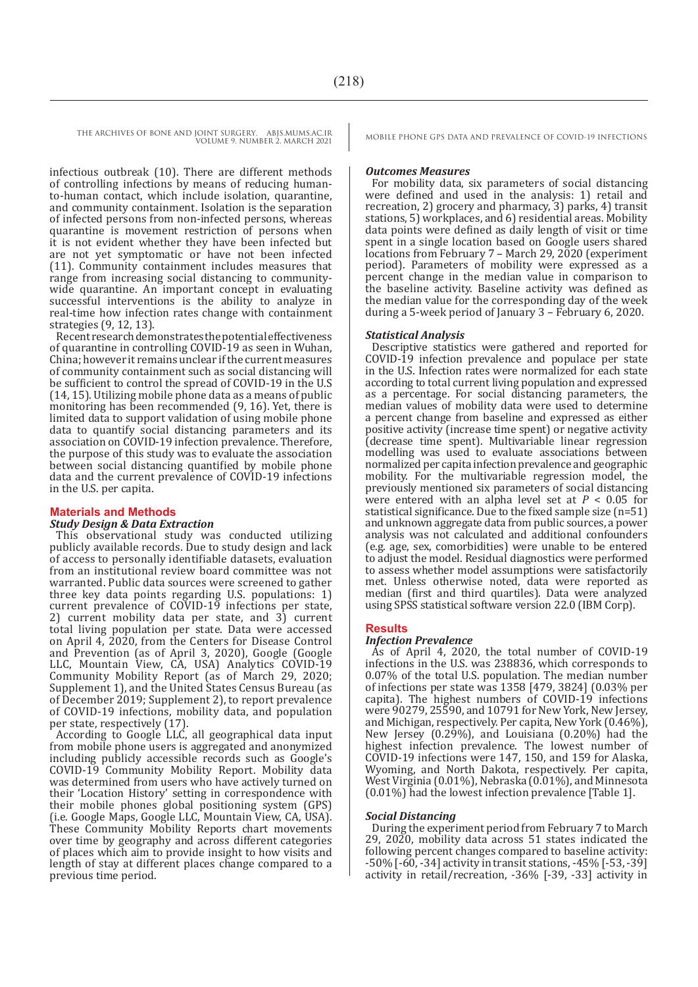infectious outbreak (10). There are different methods of controlling infections by means of reducing humanto-human contact, which include isolation, quarantine, and community containment. Isolation is the separation of infected persons from non-infected persons, whereas quarantine is movement restriction of persons when it is not evident whether they have been infected but are not yet symptomatic or have not been infected (11). Community containment includes measures that range from increasing social distancing to communitywide quarantine. An important concept in evaluating successful interventions is the ability to analyze in real-time how infection rates change with containment strategies (9, 12, 13).

Recent research demonstrates the potential effectiveness of quarantine in controlling COVID-19 as seen in Wuhan, China; however it remains unclear if the current measures of community containment such as social distancing will be sufficient to control the spread of COVID-19 in the U.S (14, 15). Utilizing mobile phone data as a means of public monitoring has been recommended (9, 16). Yet, there is limited data to support validation of using mobile phone data to quantify social distancing parameters and its association on COVID-19 infection prevalence. Therefore, the purpose of this study was to evaluate the association between social distancing quantified by mobile phone data and the current prevalence of COVID-19 infections in the U.S. per capita.

#### **Materials and Methods**

#### *Study Design & Data Extraction*

This observational study was conducted utilizing publicly available records. Due to study design and lack of access to personally identifiable datasets, evaluation from an institutional review board committee was not warranted. Public data sources were screened to gather three key data points regarding U.S. populations: 1) current prevalence of COVID-19 infections per state, 2) current mobility data per state, and 3) current total living population per state. Data were accessed on April 4, 2020, from the Centers for Disease Control and Prevention (as of April 3, 2020), Google (Google LLC, Mountain View, CA, USA) Analytics COVID-19 Community Mobility Report (as of March 29, 2020; Supplement 1), and the United States Census Bureau (as of December 2019; Supplement 2), to report prevalence of COVID-19 infections, mobility data, and population per state, respectively (17).

According to Google LLC, all geographical data input from mobile phone users is aggregated and anonymized including publicly accessible records such as Google's COVID-19 Community Mobility Report. Mobility data was determined from users who have actively turned on their 'Location History' setting in correspondence with their mobile phones global positioning system (GPS) (i.e. Google Maps, Google LLC, Mountain View, CA, USA). These Community Mobility Reports chart movements over time by geography and across different categories of places which aim to provide insight to how visits and length of stay at different places change compared to a previous time period.

#### *Outcomes Measures*

For mobility data, six parameters of social distancing were defined and used in the analysis: 1) retail and recreation, 2) grocery and pharmacy, 3) parks, 4) transit stations, 5) workplaces, and 6) residential areas. Mobility data points were defined as daily length of visit or time spent in a single location based on Google users shared locations from February 7 – March 29, 2020 (experiment period). Parameters of mobility were expressed as a percent change in the median value in comparison to the baseline activity. Baseline activity was defined as the median value for the corresponding day of the week during a 5-week period of January 3 – February 6, 2020.

#### *Statistical Analysis*

Descriptive statistics were gathered and reported for COVID-19 infection prevalence and populace per state in the U.S. Infection rates were normalized for each state according to total current living population and expressed as a percentage. For social distancing parameters, the median values of mobility data were used to determine a percent change from baseline and expressed as either positive activity (increase time spent) or negative activity (decrease time spent). Multivariable linear regression modelling was used to evaluate associations between normalized per capita infection prevalence and geographic mobility. For the multivariable regression model, the previously mentioned six parameters of social distancing were entered with an alpha level set at  $P < 0.05$  for statistical significance. Due to the fixed sample size (n=51) and unknown aggregate data from public sources, a power analysis was not calculated and additional confounders (e.g. age, sex, comorbidities) were unable to be entered to adjust the model. Residual diagnostics were performed to assess whether model assumptions were satisfactorily met. Unless otherwise noted, data were reported as median (first and third quartiles). Data were analyzed using SPSS statistical software version 22.0 (IBM Corp).

#### **Results**

#### *Infection Prevalence*

As of April 4, 2020, the total number of COVID-19 infections in the U.S. was 238836, which corresponds to 0.07% of the total U.S. population. The median number of infections per state was 1358 [479, 3824] (0.03% per capita). The highest numbers of COVID-19 infections were 90279, 25590, and 10791 for New York, New Jersey, and Michigan, respectively. Per capita, New York (0.46%), New Jersey (0.29%), and Louisiana (0.20%) had the highest infection prevalence. The lowest number of COVID-19 infections were 147, 150, and 159 for Alaska, Wyoming, and North Dakota, respectively. Per capita, West Virginia (0.01%), Nebraska (0.01%), and Minnesota (0.01%) had the lowest infection prevalence [Table 1].

#### *Social Distancing*

During the experiment period from February 7 to March 29, 2020, mobility data across 51 states indicated the following percent changes compared to baseline activity: -50% [-60, -34] activity in transit stations, -45% [-53, -39] activity in retail/recreation, -36% [-39, -33] activity in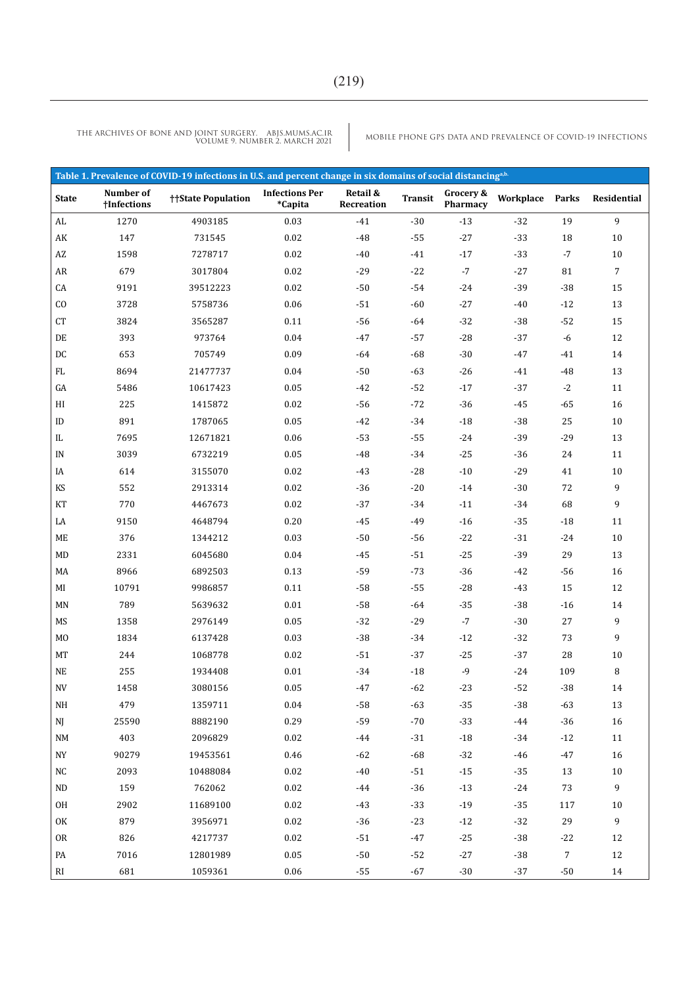THE ARCHIVES OF BONE AND JOINT SURGERY. ABJS.MUMS.AC.IR<br>VOLUME 9. NUMBER 2. MARCH 2021

MOBILE PHONE GPS DATA AND PREVALENCE OF COVID-19 INFECTIONS

| Table 1. Prevalence of COVID-19 infections in U.S. and percent change in six domains of social distancing <sup>a,b.</sup> |                          |                    |                                  |                        |                |                       |           |                |                  |
|---------------------------------------------------------------------------------------------------------------------------|--------------------------|--------------------|----------------------------------|------------------------|----------------|-----------------------|-----------|----------------|------------------|
| <b>State</b>                                                                                                              | Number of<br>†Infections | ††State Population | <b>Infections Per</b><br>*Capita | Retail &<br>Recreation | <b>Transit</b> | Grocery &<br>Pharmacy | Workplace | Parks          | Residential      |
| AL                                                                                                                        | 1270                     | 4903185            | 0.03                             | $-41$                  | $-30$          | $-13$                 | $-32$     | 19             | 9                |
| AK                                                                                                                        | 147                      | 731545             | $0.02\,$                         | $-48$                  | $-55$          | $-27$                 | $-33$     | 18             | 10               |
| $\mathbf{A}\mathbf{Z}$                                                                                                    | 1598                     | 7278717            | $0.02\,$                         | $-40$                  | $-41$          | $-17$                 | $-33$     | $-7$           | $10\,$           |
| AR                                                                                                                        | 679                      | 3017804            | 0.02                             | $-29$                  | $-22$          | $-7$                  | $-27$     | 81             | 7                |
| CA                                                                                                                        | 9191                     | 39512223           | $0.02\,$                         | $-50$                  | $-54$          | $-24$                 | $-39$     | $-38$          | 15               |
| CO                                                                                                                        | 3728                     | 5758736            | 0.06                             | $-51$                  | $-60$          | $-27$                 | $-40$     | $-12$          | 13               |
| CT                                                                                                                        | 3824                     | 3565287            | 0.11                             | $-56$                  | $-64$          | $-32$                 | $-38$     | $-52$          | 15               |
| $\rm DE$                                                                                                                  | 393                      | 973764             | 0.04                             | $-47$                  | $-57$          | $\text{-}28$          | $-37$     | -6             | 12               |
| $\mathop{\rm DC}\nolimits$                                                                                                | 653                      | 705749             | 0.09                             | $-64$                  | $-68$          | $-30$                 | $-47$     | -41            | 14               |
| FL                                                                                                                        | 8694                     | 21477737           | 0.04                             | $-50$                  | $-63$          | $-26$                 | $-41$     | $-48$          | 13               |
| GA                                                                                                                        | 5486                     | 10617423           | 0.05                             | $-42$                  | $-52$          | $-17$                 | $-37$     | $-2$           | 11               |
| HI                                                                                                                        | 225                      | 1415872            | $0.02\,$                         | $-56$                  | $-72$          | $-36$                 | $-45$     | $-65$          | 16               |
| ID                                                                                                                        | 891                      | 1787065            | 0.05                             | $-42$                  | $-34$          | $-18$                 | $-38$     | 25             | $10\,$           |
| IL                                                                                                                        | 7695                     | 12671821           | 0.06                             | $-53$                  | $-55$          | $-24$                 | $-39$     | $-29$          | 13               |
| IN                                                                                                                        | 3039                     | 6732219            | 0.05                             | $-48$                  | $-34$          | $-25$                 | $-36$     | 24             | 11               |
| IA                                                                                                                        | 614                      | 3155070            | 0.02                             | $-43$                  | $-28$          | $-10$                 | $-29$     | 41             | 10               |
| KS                                                                                                                        | 552                      | 2913314            | 0.02                             | $-36$                  | $-20$          | $-14$                 | $-30$     | 72             | 9                |
| KT                                                                                                                        | 770                      | 4467673            | 0.02                             | $-37$                  | $-34$          | $-11$                 | $-34$     | 68             | 9                |
| LA                                                                                                                        | 9150                     | 4648794            | 0.20                             | $-45$                  | $-49$          | $-16$                 | $-35$     | $-18$          | 11               |
| ME                                                                                                                        | 376                      | 1344212            | 0.03                             | $-50$                  | $-56$          | $-22$                 | $-31$     | $-24$          | 10               |
| MD                                                                                                                        | 2331                     | 6045680            | 0.04                             | $-45$                  | $-51$          | $-25$                 | $-39$     | 29             | 13               |
| MA                                                                                                                        | 8966                     | 6892503            | 0.13                             | $-59$                  | $-73$          | $-36$                 | $-42$     | $-56$          | 16               |
| MI                                                                                                                        | 10791                    | 9986857            | 0.11                             | $-58$                  | $-55$          | $\text{-}28$          | $-43$     | 15             | 12               |
| MN                                                                                                                        | 789                      | 5639632            | 0.01                             | $-58$                  | $-64$          | $-35$                 | $-38$     | $-16$          | 14               |
| MS                                                                                                                        | 1358                     | 2976149            | 0.05                             | $-32$                  | $-29$          | $-7$                  | $-30$     | 27             | 9                |
| M <sub>0</sub>                                                                                                            | 1834                     | 6137428            | 0.03                             | $-38$                  | $-34$          | $-12$                 | $-32$     | 73             | 9                |
| MT                                                                                                                        | 244                      | 1068778            | $0.02\,$                         | $-51$                  | $-37$          | $-25$                 | $-37$     | 28             | 10               |
| $\rm NE$                                                                                                                  | 255                      | 1934408            | $0.01\,$                         | $-34$                  | $-18$          | $-9$                  | $-24$     | 109            | 8                |
| $\ensuremath{\text{NV}}$                                                                                                  | 1458                     | 3080156            | 0.05                             | $-47$                  | $-62$          | $-23$                 | $-52$     | $-38$          | 14               |
| NH                                                                                                                        | 479                      | 1359711            | 0.04                             | $-58$                  | $-63$          | $-35$                 | $-38$     | -63            | 13               |
| NJ                                                                                                                        | 25590                    | 8882190            | 0.29                             | $-59$                  | $-70$          | $-33$                 | $-44$     | $-36$          | 16               |
| NM                                                                                                                        | 403                      | 2096829            | 0.02                             | $-44$                  | $-31$          | $-18$                 | $-34$     | $-12$          | 11               |
| NY                                                                                                                        | 90279                    | 19453561           | 0.46                             | $-62$                  | $-68$          | $-32$                 | -46       | -47            | 16               |
| NC                                                                                                                        | 2093                     | 10488084           | 0.02                             | $-40$                  | $-51$          | $-15$                 | $-35$     | 13             | 10               |
| ND                                                                                                                        | 159                      | 762062             | 0.02                             | $-44$                  | $-36$          | $-13$                 | $-24$     | 73             | 9                |
| OH                                                                                                                        | 2902                     | 11689100           | 0.02                             | $-43$                  | $-33$          | $-19$                 | $-35$     | 117            | 10               |
| OK                                                                                                                        | 879                      | 3956971            | 0.02                             | $-36$                  | $-23$          | $-12$                 | $-32$     | 29             | $\boldsymbol{9}$ |
| <b>OR</b>                                                                                                                 | 826                      | 4217737            | 0.02                             | $-51$                  | $-47$          | $-25$                 | $-38$     | $-22$          | 12               |
| PA                                                                                                                        | 7016                     | 12801989           | 0.05                             | $-50$                  | $-52$          | $-27$                 | $-38$     | $\overline{7}$ | 12               |
| RI                                                                                                                        | 681                      | 1059361            | 0.06                             | $-55$                  | $-67$          | $-30$                 | $-37$     | $-50$          | 14               |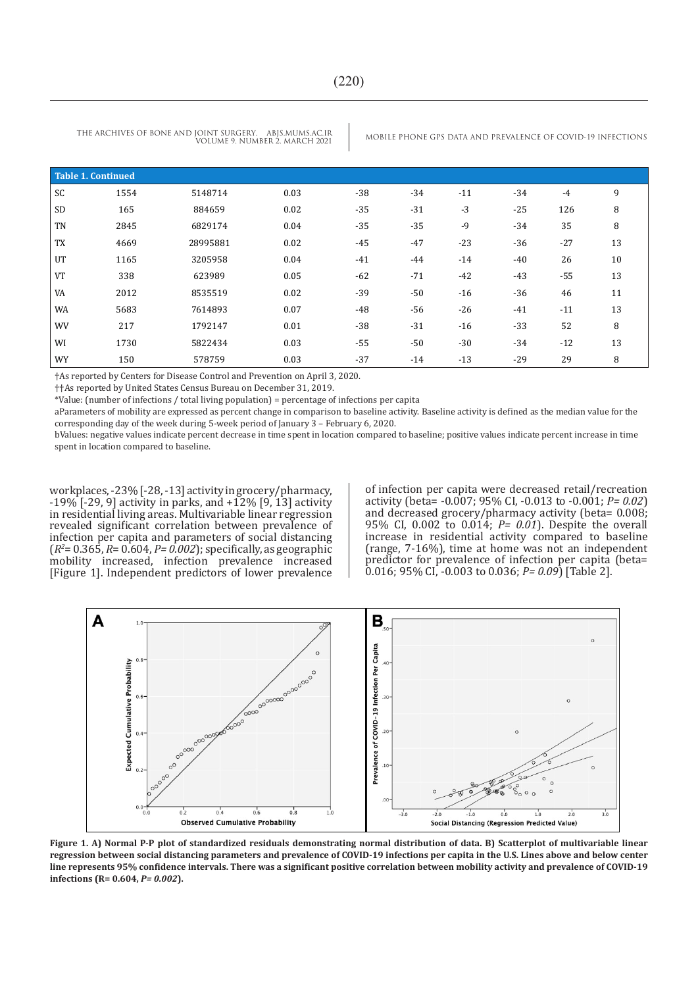VOLUME 9. NUMBER 2. MARCH 2021

THE ARCHIVES OF BONE AND JOINT SURGERY. ABJS.MUMS.AC.IR MOBILE PHONE GPS DATA AND PREVALENCE OF COVID-19 INFECTIONS

| <b>Table 1. Continued</b> |      |          |      |       |       |       |       |       |    |
|---------------------------|------|----------|------|-------|-------|-------|-------|-------|----|
| SC                        | 1554 | 5148714  | 0.03 | $-38$ | $-34$ | $-11$ | $-34$ | $-4$  | 9  |
| <b>SD</b>                 | 165  | 884659   | 0.02 | $-35$ | $-31$ | $-3$  | $-25$ | 126   | 8  |
| <b>TN</b>                 | 2845 | 6829174  | 0.04 | $-35$ | $-35$ | $-9$  | $-34$ | 35    | 8  |
| <b>TX</b>                 | 4669 | 28995881 | 0.02 | $-45$ | $-47$ | $-23$ | $-36$ | $-27$ | 13 |
| UT                        | 1165 | 3205958  | 0.04 | $-41$ | $-44$ | $-14$ | $-40$ | 26    | 10 |
| <b>VT</b>                 | 338  | 623989   | 0.05 | $-62$ | $-71$ | $-42$ | $-43$ | $-55$ | 13 |
| VA                        | 2012 | 8535519  | 0.02 | $-39$ | $-50$ | $-16$ | $-36$ | 46    | 11 |
| WA                        | 5683 | 7614893  | 0.07 | $-48$ | -56   | $-26$ | $-41$ | $-11$ | 13 |
| <b>WV</b>                 | 217  | 1792147  | 0.01 | $-38$ | $-31$ | $-16$ | $-33$ | 52    | 8  |
| WI                        | 1730 | 5822434  | 0.03 | $-55$ | $-50$ | $-30$ | $-34$ | $-12$ | 13 |
| WY                        | 150  | 578759   | 0.03 | $-37$ | $-14$ | $-13$ | $-29$ | 29    | 8  |

†As reported by Centers for Disease Control and Prevention on April 3, 2020.

††As reported by United States Census Bureau on December 31, 2019.

\*Value: (number of infections / total living population) = percentage of infections per capita

aParameters of mobility are expressed as percent change in comparison to baseline activity. Baseline activity is defined as the median value for the corresponding day of the week during 5-week period of January 3 – February 6, 2020.

bValues: negative values indicate percent decrease in time spent in location compared to baseline; positive values indicate percent increase in time spent in location compared to baseline.

workplaces, -23% [-28, -13] activity in grocery/pharmacy,  $-19\%$  [ $-29$ , 9] activity in parks, and  $+12\%$  [9, 13] activity in residential living areas. Multivariable linear regression revealed significant correlation between prevalence of infection per capita and parameters of social distancing (*R2* = 0.365, *R*= 0.604, *P= 0.002*); specifically, as geographic mobility increased, infection prevalence increased [Figure 1]. Independent predictors of lower prevalence

of infection per capita were decreased retail/recreation activity (beta= -0.007; 95% CI, -0.013 to -0.001; *P= 0.02*) and decreased grocery/pharmacy activity (beta= 0.008; 95% CI, 0.002 to 0.014; *P= 0.01*). Despite the overall increase in residential activity compared to baseline (range, 7-16%), time at home was not an independent predictor for prevalence of infection per capita (beta= 0.016; 95% CI, -0.003 to 0.036; *P= 0.09*) [Table 2].



**Figure 1. A) Normal P-P plot of standardized residuals demonstrating normal distribution of data. B) Scatterplot of multivariable linear regression between social distancing parameters and prevalence of COVID-19 infections per capita in the U.S. Lines above and below center line represents 95% confidence intervals. There was a significant positive correlation between mobility activity and prevalence of COVID-19 infections (R= 0.604,** *P= 0.002***).**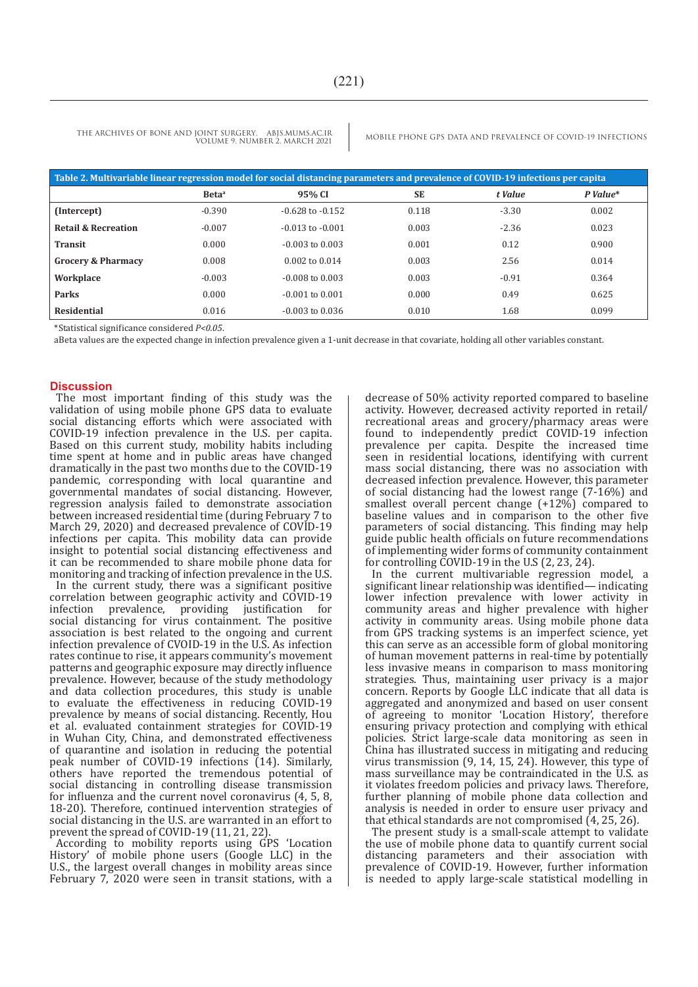| Table 2. Multivariable linear regression model for social distancing parameters and prevalence of COVID-19 infections per capita |                   |                      |           |         |            |  |  |  |
|----------------------------------------------------------------------------------------------------------------------------------|-------------------|----------------------|-----------|---------|------------|--|--|--|
|                                                                                                                                  | Beta <sup>a</sup> | 95% CI               | <b>SE</b> | t Value | $P$ Value* |  |  |  |
| (Intercept)                                                                                                                      | $-0.390$          | $-0.628$ to $-0.152$ | 0.118     | $-3.30$ | 0.002      |  |  |  |
| <b>Retail &amp; Recreation</b>                                                                                                   | $-0.007$          | $-0.013$ to $-0.001$ | 0.003     | $-2.36$ | 0.023      |  |  |  |
| <b>Transit</b>                                                                                                                   | 0.000             | $-0.003$ to $0.003$  | 0.001     | 0.12    | 0.900      |  |  |  |
| <b>Grocery &amp; Pharmacy</b>                                                                                                    | 0.008             | $0.002$ to $0.014$   | 0.003     | 2.56    | 0.014      |  |  |  |
| Workplace                                                                                                                        | $-0.003$          | $-0.008$ to $0.003$  | 0.003     | $-0.91$ | 0.364      |  |  |  |
| Parks                                                                                                                            | 0.000             | $-0.001$ to $0.001$  | 0.000     | 0.49    | 0.625      |  |  |  |
| <b>Residential</b>                                                                                                               | 0.016             | $-0.003$ to $0.036$  | 0.010     | 1.68    | 0.099      |  |  |  |

\*Statistical significance considered *P<0.05*.

aBeta values are the expected change in infection prevalence given a 1-unit decrease in that covariate, holding all other variables constant.

#### **Discussion**

The most important finding of this study was the validation of using mobile phone GPS data to evaluate social distancing efforts which were associated with COVID-19 infection prevalence in the U.S. per capita. Based on this current study, mobility habits including time spent at home and in public areas have changed dramatically in the past two months due to the COVID-19 pandemic, corresponding with local quarantine and governmental mandates of social distancing. However, regression analysis failed to demonstrate association between increased residential time (during February 7 to March 29, 2020) and decreased prevalence of COVID-19 infections per capita. This mobility data can provide insight to potential social distancing effectiveness and it can be recommended to share mobile phone data for monitoring and tracking of infection prevalence in the U.S.

In the current study, there was a significant positive correlation between geographic activity and COVID-19 infection prevalence, providing justification for social distancing for virus containment. The positive association is best related to the ongoing and current infection prevalence of CVOID-19 in the U.S. As infection rates continue to rise, it appears community's movement patterns and geographic exposure may directly influence prevalence. However, because of the study methodology and data collection procedures, this study is unable to evaluate the effectiveness in reducing COVID-19 prevalence by means of social distancing. Recently, Hou et al. evaluated containment strategies for COVID-19 in Wuhan City, China, and demonstrated effectiveness of quarantine and isolation in reducing the potential peak number of COVID-19 infections (14). Similarly, others have reported the tremendous potential of social distancing in controlling disease transmission for influenza and the current novel coronavirus (4, 5, 8, 18-20). Therefore, continued intervention strategies of social distancing in the U.S. are warranted in an effort to prevent the spread of COVID-19 (11, 21, 22).

According to mobility reports using GPS 'Location History' of mobile phone users (Google LLC) in the U.S., the largest overall changes in mobility areas since February 7, 2020 were seen in transit stations, with a decrease of 50% activity reported compared to baseline activity. However, decreased activity reported in retail/ recreational areas and grocery/pharmacy areas were found to independently predict COVID-19 infection prevalence per capita. Despite the increased time seen in residential locations, identifying with current mass social distancing, there was no association with decreased infection prevalence. However, this parameter of social distancing had the lowest range (7-16%) and smallest overall percent change (+12%) compared to baseline values and in comparison to the other five parameters of social distancing. This finding may help guide public health officials on future recommendations of implementing wider forms of community containment for controlling  $\text{COVID-19}$  in the U.S  $(2, 23, 24)$ .

In the current multivariable regression model, a significant linear relationship was identified— indicating lower infection prevalence with lower activity in community areas and higher prevalence with higher activity in community areas. Using mobile phone data from GPS tracking systems is an imperfect science, yet this can serve as an accessible form of global monitoring of human movement patterns in real-time by potentially less invasive means in comparison to mass monitoring strategies. Thus, maintaining user privacy is a major concern. Reports by Google LLC indicate that all data is aggregated and anonymized and based on user consent of agreeing to monitor 'Location History', therefore ensuring privacy protection and complying with ethical policies. Strict large-scale data monitoring as seen in China has illustrated success in mitigating and reducing virus transmission (9, 14, 15, 24). However, this type of mass surveillance may be contraindicated in the U.S. as it violates freedom policies and privacy laws. Therefore, further planning of mobile phone data collection and analysis is needed in order to ensure user privacy and that ethical standards are not compromised (4, 25, 26).

The present study is a small-scale attempt to validate the use of mobile phone data to quantify current social distancing parameters and their association with prevalence of COVID-19. However, further information is needed to apply large-scale statistical modelling in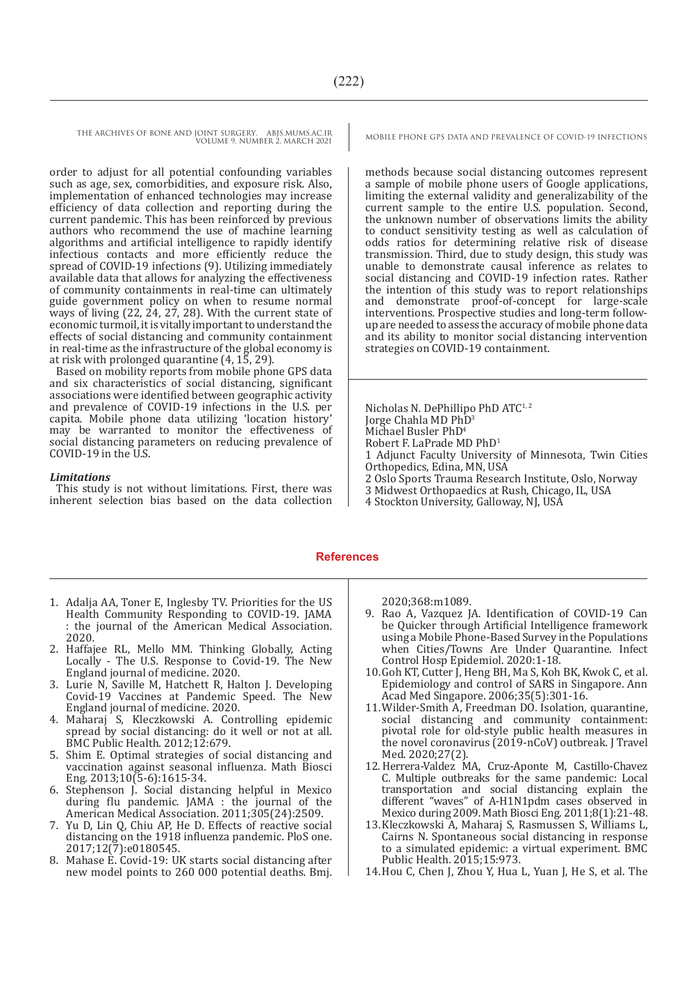order to adjust for all potential confounding variables such as age, sex, comorbidities, and exposure risk. Also, implementation of enhanced technologies may increase efficiency of data collection and reporting during the current pandemic. This has been reinforced by previous authors who recommend the use of machine learning algorithms and artificial intelligence to rapidly identify infectious contacts and more efficiently reduce the spread of COVID-19 infections (9). Utilizing immediately available data that allows for analyzing the effectiveness of community containments in real-time can ultimately guide government policy on when to resume normal ways of living (22, 24, 27, 28). With the current state of economic turmoil, it is vitally important to understand the effects of social distancing and community containment in real-time as the infrastructure of the global economy is at risk with prolonged quarantine (4, 15, 29).

Based on mobility reports from mobile phone GPS data and six characteristics of social distancing, significant associations were identified between geographic activity and prevalence of COVID-19 infections in the U.S. per capita. Mobile phone data utilizing 'location history' may be warranted to monitor the effectiveness of social distancing parameters on reducing prevalence of COVID-19 in the U.S.

#### *Limitations*

This study is not without limitations. First, there was inherent selection bias based on the data collection

methods because social distancing outcomes represent a sample of mobile phone users of Google applications, limiting the external validity and generalizability of the current sample to the entire U.S. population. Second, the unknown number of observations limits the ability to conduct sensitivity testing as well as calculation of odds ratios for determining relative risk of disease transmission. Third, due to study design, this study was unable to demonstrate causal inference as relates to social distancing and COVID-19 infection rates. Rather the intention of this study was to report relationships and demonstrate proof-of-concept for large-scale interventions. Prospective studies and long-term followup are needed to assess the accuracy of mobile phone data and its ability to monitor social distancing intervention strategies on COVID-19 containment.

Nicholas N. DePhillipo PhD ATC<sup>1, 2</sup> Jorge Chahla MD PhD3 Michael Busler PhD<sup>4</sup> Robert F. LaPrade MD PhD1 1 Adjunct Faculty University of Minnesota, Twin Cities Orthopedics, Edina, MN, USA 2 Oslo Sports Trauma Research Institute, Oslo, Norway 3 Midwest Orthopaedics at Rush, Chicago, IL, USA

4 Stockton University, Galloway, NJ, USA

#### **References**

- 1. Adalja AA, Toner E, Inglesby TV. Priorities for the US Health Community Responding to COVID-19. JAMA : the journal of the American Medical Association. 2020.
- 2. Haffajee RL, Mello MM. Thinking Globally, Acting Locally - The U.S. Response to Covid-19. The New England journal of medicine. 2020.
- 3. Lurie N, Saville M, Hatchett R, Halton J. Developing Covid-19 Vaccines at Pandemic Speed. The New England journal of medicine. 2020.
- 4. Maharaj S, Kleczkowski A. Controlling epidemic spread by social distancing: do it well or not at all. BMC Public Health.  $2012;12:679$ .
- 5. Shim E. Optimal strategies of social distancing and vaccination against seasonal influenza. Math Biosci Eng. 2013;10(5-6):1615-34.
- 6. Stephenson J. Social distancing helpful in Mexico during flu pandemic. JAMA : the journal of the American Medical Association. 2011;305(24):2509.
- 7. Yu D, Lin Q, Chiu AP, He D. Effects of reactive social distancing on the 1918 influenza pandemic. PloS one. 2017;12(7):e0180545.
- 8. Mahase E. Covid-19: UK starts social distancing after new model points to 260 000 potential deaths. Bmj.

2020;368:m1089.

- 9. Rao A, Vazquez JA. Identification of COVID-19 Can be Quicker through Artificial Intelligence framework using a Mobile Phone-Based Survey in the Populations when Cities/Towns Are Under Quarantine. Infect Control Hosp Epidemiol. 2020:1-18.
- 10.Goh KT, Cutter J, Heng BH, Ma S, Koh BK, Kwok C, et al. Epidemiology and control of SARS in Singapore. Ann Acad Med Singapore. 2006;35(5):301-16.
- 11.Wilder-Smith A, Freedman DO. Isolation, quarantine, social distancing and community containment: pivotal role for old-style public health measures in the novel coronavirus (2019-nCoV) outbreak. J Travel Med. 2020;27(2).
- 12.Herrera-Valdez MA, Cruz-Aponte M, Castillo-Chavez C. Multiple outbreaks for the same pandemic: Local transportation and social distancing explain the different "waves" of A-H1N1pdm cases observed in Mexico during 2009. Math Biosci Eng. 2011;8(1):21-48.
- 13.Kleczkowski A, Maharaj S, Rasmussen S, Williams L, Cairns N. Spontaneous social distancing in response to a simulated epidemic: a virtual experiment. BMC Public Health. 2015;15:973.
- 14.Hou C, Chen J, Zhou Y, Hua L, Yuan J, He S, et al. The